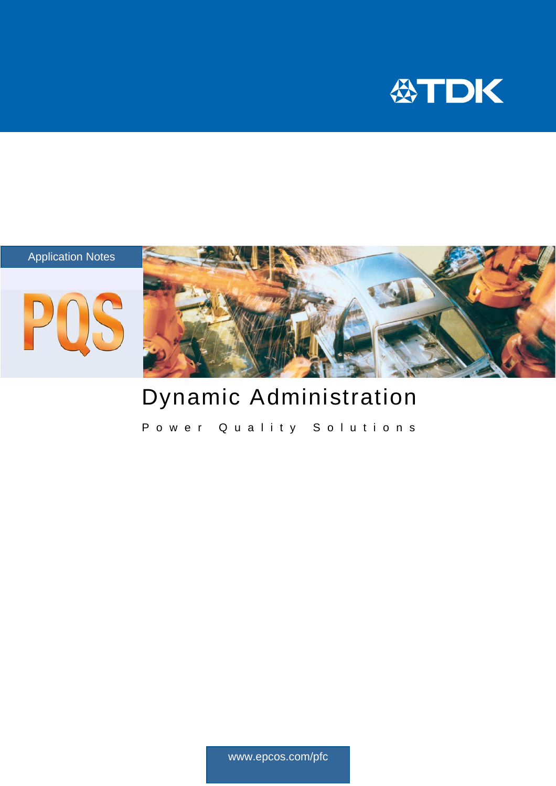



# Dynamic Administration

Power Quality Solutions

www.epcos.com/pfc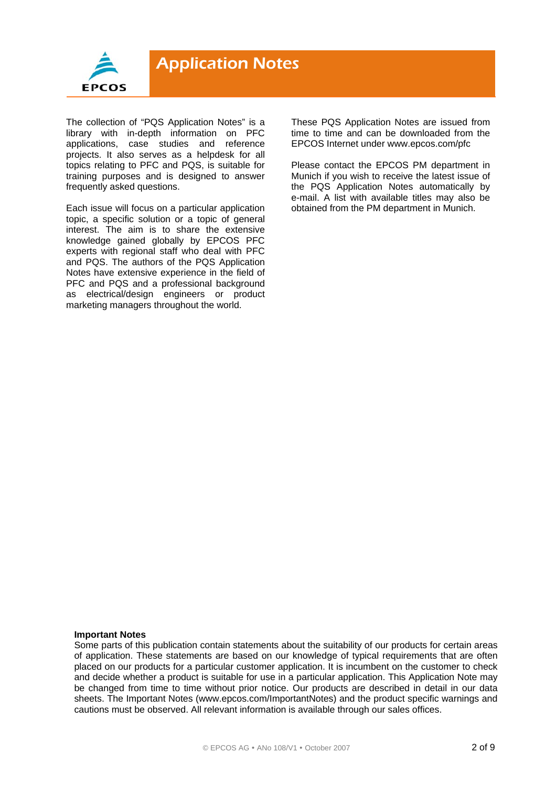

The collection of "PQS Application Notes" is a library with in-depth information on PFC applications, case studies and reference projects. It also serves as a helpdesk for all topics relating to PFC and PQS, is suitable for training purposes and is designed to answer frequently asked questions.

Each issue will focus on a particular application topic, a specific solution or a topic of general interest. The aim is to share the extensive knowledge gained globally by EPCOS PFC experts with regional staff who deal with PFC and PQS. The authors of the PQS Application Notes have extensive experience in the field of PFC and PQS and a professional background as electrical/design engineers or product marketing managers throughout the world.

These PQS Application Notes are issued from time to time and can be downloaded from the EPCOS Internet under www.epcos.com/pfc

Please contact the EPCOS PM department in Munich if you wish to receive the latest issue of the PQS Application Notes automatically by e-mail. A list with available titles may also be obtained from the PM department in Munich.

#### **Important Notes**

Some parts of this publication contain statements about the suitability of our products for certain areas of application. These statements are based on our knowledge of typical requirements that are often placed on our products for a particular customer application. It is incumbent on the customer to check and decide whether a product is suitable for use in a particular application. This Application Note may be changed from time to time without prior notice. Our products are described in detail in our data sheets. The Important Notes (www.epcos.com/ImportantNotes) and the product specific warnings and cautions must be observed. All relevant information is available through our sales offices.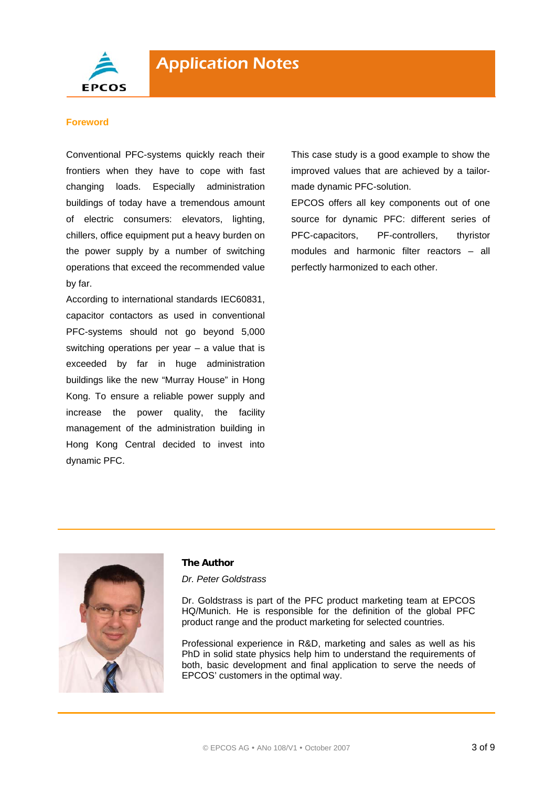

### **Foreword**

Conventional PFC-systems quickly reach their frontiers when they have to cope with fast changing loads. Especially administration buildings of today have a tremendous amount of electric consumers: elevators, lighting, chillers, office equipment put a heavy burden on the power supply by a number of switching operations that exceed the recommended value by far.

According to international standards IEC60831, capacitor contactors as used in conventional PFC-systems should not go beyond 5,000 switching operations per year  $-$  a value that is exceeded by far in huge administration buildings like the new "Murray House" in Hong Kong. To ensure a reliable power supply and increase the power quality, the facility management of the administration building in Hong Kong Central decided to invest into dynamic PFC.

This case study is a good example to show the improved values that are achieved by a tailormade dynamic PFC-solution.

EPCOS offers all key components out of one source for dynamic PFC: different series of PFC-capacitors, PF-controllers, thyristor modules and harmonic filter reactors – all perfectly harmonized to each other.



### **The Author**

*Dr. Peter Goldstrass* 

Dr. Goldstrass is part of the PFC product marketing team at EPCOS HQ/Munich. He is responsible for the definition of the global PFC product range and the product marketing for selected countries.

Professional experience in R&D, marketing and sales as well as his PhD in solid state physics help him to understand the requirements of both, basic development and final application to serve the needs of EPCOS' customers in the optimal way.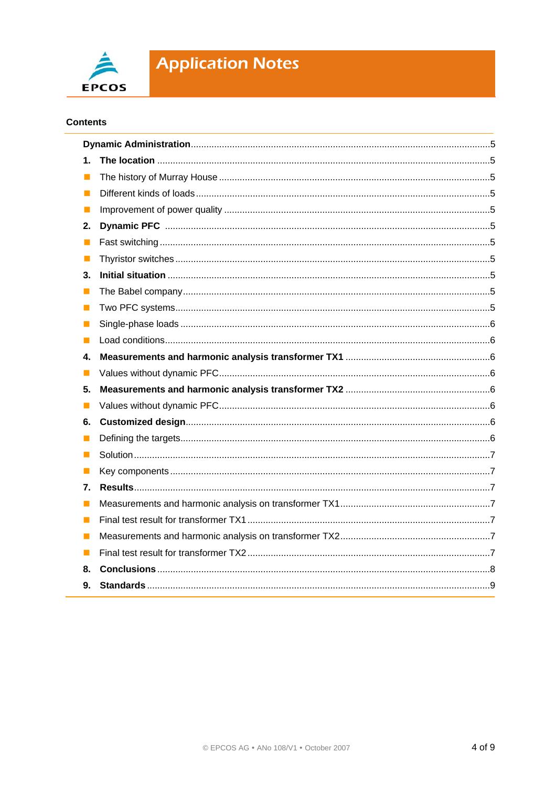

# **Application Notes**

# **Contents**

| 1.             |  |  |  |
|----------------|--|--|--|
| П              |  |  |  |
| L              |  |  |  |
| L              |  |  |  |
| 2.             |  |  |  |
| П              |  |  |  |
| $\Box$         |  |  |  |
| 3.             |  |  |  |
| ш              |  |  |  |
| $\Box$         |  |  |  |
| ш              |  |  |  |
| П              |  |  |  |
| 4.             |  |  |  |
| П              |  |  |  |
| 5.             |  |  |  |
| H              |  |  |  |
| 6.             |  |  |  |
| M              |  |  |  |
| l. I           |  |  |  |
| $\blacksquare$ |  |  |  |
| 7.             |  |  |  |
| H              |  |  |  |
| $\blacksquare$ |  |  |  |
| Ш              |  |  |  |
| Ш              |  |  |  |
| 8.             |  |  |  |
| 9.             |  |  |  |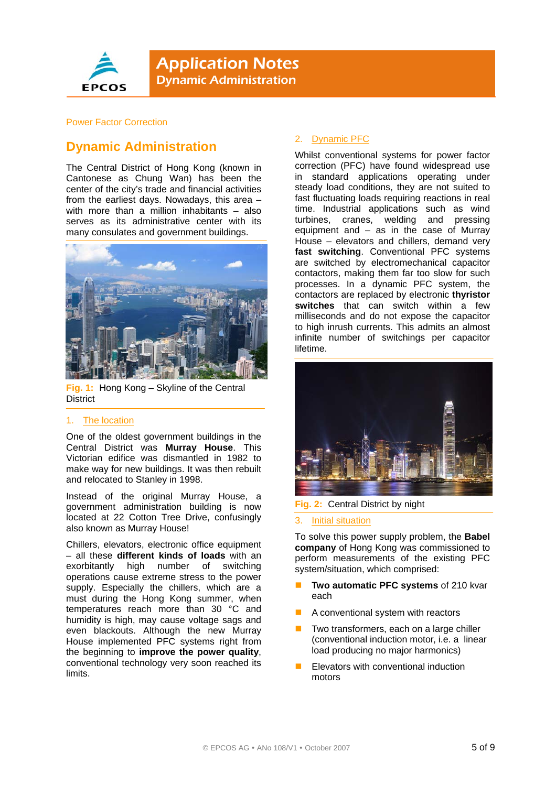

**Application Notes** Dynamic Administration

### Power Factor Correction

# **Dynamic Administration**

The Central District of Hong Kong (known in Cantonese as Chung Wan) has been the center of the city's trade and financial activities from the earliest days. Nowadays, this area – with more than a million inhabitants – also serves as its administrative center with its many consulates and government buildings.



**Fig. 1:** Hong Kong – Skyline of the Central **District** 

### 1. The location

One of the oldest government buildings in the Central District was **Murray House**. This Victorian edifice was dismantled in 1982 to make way for new buildings. It was then rebuilt and relocated to Stanley in 1998.

Instead of the original Murray House, a government administration building is now located at 22 Cotton Tree Drive, confusingly also known as Murray House!

Chillers, elevators, electronic office equipment – all these **different kinds of loads** with an exorbitantly high number of switching operations cause extreme stress to the power supply. Especially the chillers, which are a must during the Hong Kong summer, when temperatures reach more than 30 °C and humidity is high, may cause voltage sags and even blackouts. Although the new Murray House implemented PFC systems right from the beginning to **improve the power quality**, conventional technology very soon reached its limits.

## 2. Dynamic PFC

Whilst conventional systems for power factor correction (PFC) have found widespread use in standard applications operating under steady load conditions, they are not suited to fast fluctuating loads requiring reactions in real time. Industrial applications such as wind turbines, cranes, welding and pressing equipment and – as in the case of Murray House – elevators and chillers, demand very **fast switching**. Conventional PFC systems are switched by electromechanical capacitor contactors, making them far too slow for such processes. In a dynamic PFC system, the contactors are replaced by electronic **thyristor switches** that can switch within a few milliseconds and do not expose the capacitor to high inrush currents. This admits an almost infinite number of switchings per capacitor lifetime.



#### **Fig. 2:** Central District by night

#### 3. Initial situation

To solve this power supply problem, the **Babel company** of Hong Kong was commissioned to perform measurements of the existing PFC system/situation, which comprised:

- **Two automatic PFC systems** of 210 kvar each
- A conventional system with reactors
- Two transformers, each on a large chiller (conventional induction motor, i.e. a linear load producing no major harmonics)
- Elevators with conventional induction motors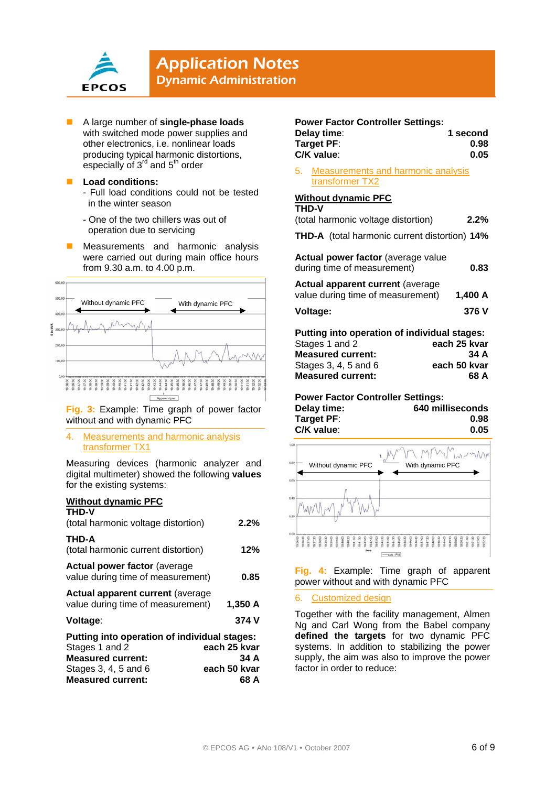

# **Application Notes**

Dynamic Administration

- A large number of **single-phase loads** with switched mode power supplies and other electronics, i.e. nonlinear loads producing typical harmonic distortions, especially of 3<sup>rd</sup> and 5<sup>th</sup> order
- **Load conditions:**  - Full load conditions could not be tested in the winter season
	- One of the two chillers was out of operation due to servicing
- Measurements and harmonic analysis were carried out during main office hours from 9.30 a.m. to 4.00 p.m.



**Fig. 3:** Example: Time graph of power factor without and with dynamic PFC

4. Measurements and harmonic analysis transformer TX1

Measuring devices (harmonic analyzer and digital multimeter) showed the following **values** for the existing systems:

# **Without dynamic PFC**

| <b>THD-V</b>                                                                  |              |  |  |
|-------------------------------------------------------------------------------|--------------|--|--|
| (total harmonic voltage distortion)                                           | $2.2\%$      |  |  |
| <b>THD-A</b>                                                                  |              |  |  |
| (total harmonic current distortion)                                           | 12%          |  |  |
| <b>Actual power factor (average</b><br>value during time of measurement)      | 0.85         |  |  |
| <b>Actual apparent current (average)</b><br>value during time of measurement) | 1,350 A      |  |  |
| Voltage:                                                                      | 374 V        |  |  |
| Putting into operation of individual stages:                                  |              |  |  |
| Stages 1 and 2                                                                | each 25 kvar |  |  |
| <b>Measured current:</b>                                                      | 34 A         |  |  |
| Stages 3, 4, 5 and 6                                                          | each 50 kvar |  |  |
| <b>Measured current:</b>                                                      | 68 A         |  |  |

# **Power Factor Controller Settings:**

| Delay time: | 1 second |
|-------------|----------|
| Tarqet PF:  | 0.98     |
| C/K value:  | 0.05     |

5. Measurements and harmonic analysis transformer TX2

# **Without dynamic PFC**

| <b>THD-V</b>                                                                 |              |
|------------------------------------------------------------------------------|--------------|
| (total harmonic voltage distortion)                                          | 2.2%         |
| <b>THD-A</b> (total harmonic current distortion) 14%                         |              |
| Actual power factor (average value<br>during time of measurement)            | 0.83         |
| <b>Actual apparent current (average</b><br>value during time of measurement) | 1,400 A      |
| Voltage:                                                                     | 376 V        |
| Putting into operation of individual stages:                                 |              |
| Stages 1 and 2                                                               | each 25 kvar |
| <b>Measured current:</b>                                                     | 34 A         |
| Stages 3, 4, 5 and 6                                                         | each 50 kvar |
| <b>Measured current:</b>                                                     | 68 A         |

# **Power Factor Controller Settings:**

| Delay time: | 640 milliseconds |
|-------------|------------------|
| Target PF:  | 0.98             |
| C/K value:  | 0.05             |



**Fig. 4:** Example: Time graph of apparent power without and with dynamic PFC

### 6. Customized design

Together with the facility management, Almen Ng and Carl Wong from the Babel company **defined the targets** for two dynamic PFC systems. In addition to stabilizing the power supply, the aim was also to improve the power factor in order to reduce: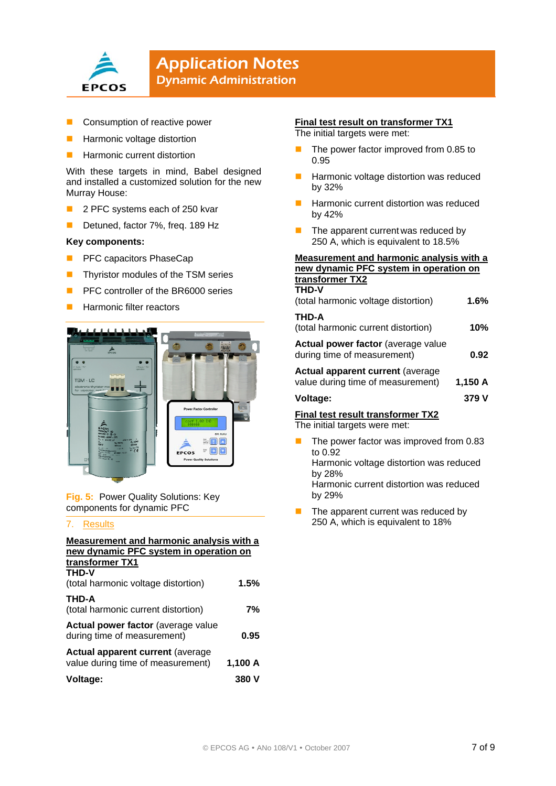

# **Application Notes** Dynamic Administration

- Consumption of reactive power
- Harmonic voltage distortion
- Harmonic current distortion

With these targets in mind, Babel designed and installed a customized solution for the new Murray House:

- 2 PFC systems each of 250 kvar
- Detuned, factor 7%, freq. 189 Hz

## **Key components:**

- **PREC capacitors PhaseCap**
- Thyristor modules of the TSM series
- PFC controller of the BR6000 series
- Harmonic filter reactors



**Fig. 5:** Power Quality Solutions: Key components for dynamic PFC

# 7. Results

| Measurement and harmonic analysis with a<br>new dynamic PFC system in operation on |         |  |  |
|------------------------------------------------------------------------------------|---------|--|--|
| transformer TX1<br><b>THD-V</b><br>(total harmonic voltage distortion)             | 1.5%    |  |  |
| <b>THD-A</b><br>(total harmonic current distortion)                                | 7%      |  |  |
| Actual power factor (average value<br>during time of measurement)                  | 0.95    |  |  |
| <b>Actual apparent current (average)</b><br>value during time of measurement)      | 1,100 A |  |  |
| Voltage:                                                                           | 380 V   |  |  |

## **Final test result on transformer TX1**

The initial targets were met:

- $\blacksquare$  The power factor improved from 0.85 to 0.95
- **Harmonic voltage distortion was reduced** by 32%
- Harmonic current distortion was reduced by 42%
- The apparent current was reduced by 250 A, which is equivalent to 18.5%

#### **Measurement and harmonic analysis with a new dynamic PFC system in operation on transformer TX2**

| uanoivinoi                                                                   |         |
|------------------------------------------------------------------------------|---------|
| THD-V<br>(total harmonic voltage distortion)                                 | $1.6\%$ |
| THD-A<br>(total harmonic current distortion)                                 | 10%     |
| Actual power factor (average value<br>during time of measurement)            | 0.92    |
| <b>Actual apparent current (average</b><br>value during time of measurement) | 1,150 A |
| Voltage:                                                                     | 379 V   |

# **Final test result transformer TX2**

The initial targets were met:

 $\blacksquare$  The power factor was improved from 0.83 to 0.92 Harmonic voltage distortion was reduced

by 28%

Harmonic current distortion was reduced by 29%

 The apparent current was reduced by 250 A, which is equivalent to 18%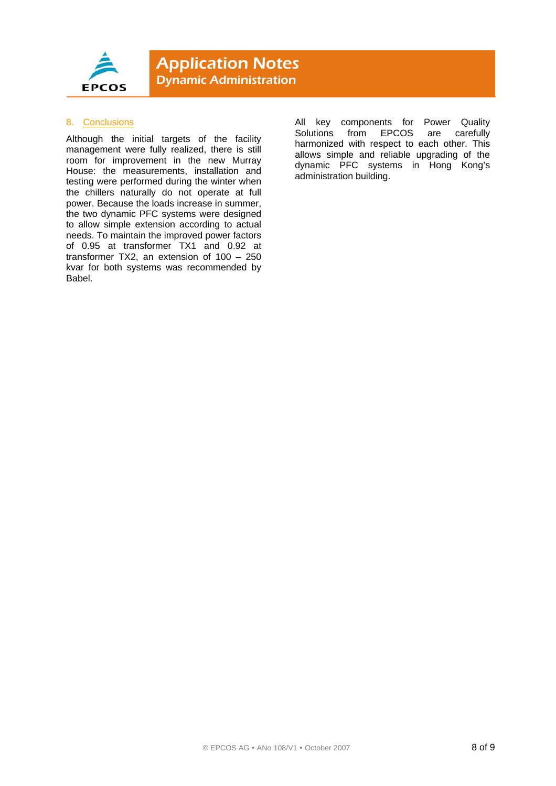

### 8. Conclusions

Although the initial targets of the facility management were fully realized, there is still room for improvement in the new Murray House: the measurements, installation and testing were performed during the winter when the chillers naturally do not operate at full power. Because the loads increase in summer, the two dynamic PFC systems were designed to allow simple extension according to actual needs. To maintain the improved power factors of 0.95 at transformer TX1 and 0.92 at transformer TX2, an extension of 100 – 250 kvar for both systems was recommended by Babel.

All key components for Power Quality Solutions from EPCOS are carefully harmonized with respect to each other. This allows simple and reliable upgrading of the dynamic PFC systems in Hong Kong's administration building.